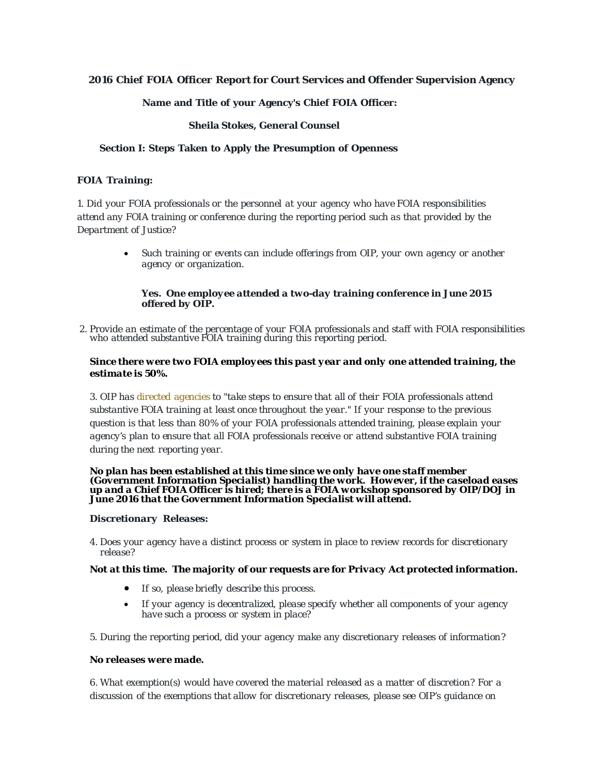# **2016 Chief FOIA Officer Report for Court Services and Offender Supervision Agency**

#### **Name and Title of your Agency's Chief FOIA Officer:**

#### **Sheila Stokes, General Counsel**

#### **Section I: Steps Taken to Apply the Presumption of Openness**

#### *FOIA Training:*

*1. Did your FOIA professionals or the personnel at your agency who have FOIA responsibilities attend any FOIA training or conference during the reporting period such as that provided by the Department of Justice?*

> • *Such training or events can include offerings from OIP, your own agency or another agency or organization.*

#### *Yes. One employee attended a two-day training conference in June 2015 offered by OIP.*

2. Provide an estimate of the percentage of your FOIA professionals and staff with FOIA responsibilities who attended substantive FOIA training during this reporting period.

#### *Since there were two FOIA employees this past year and only one attended training, the estimate is 50%.*

*3. OIP has directed [agencies](http://www.justice.gov/oip/oip-guidance-9) to "take steps to ensure that all of their FOIA professionals attend substantive FOIA training at least once throughout the year." If your response to the previous question is that less than 80% of your FOIA professionals attended training, please explain your agency's plan to ensure that all FOIA professionals receive or attend substantive FOIA training during the next reporting year.*

#### *No plan has been established at this time since we only have one staff member (Government Information Specialist) handling the work. However, if the caseload eases up and a Chief FOIA Officer is hired; there is a FOIA workshop sponsored by OIP/DOJ in June 2016 that the Government Information Specialist will attend.*

#### *Discretionary Releases:*

*4. Does your agency have a distinct process or system in place to review records for discretionary release?*

#### *Not at this time. The majority of our requests are for Privacy Act protected information.*

- *If so, please briefly describe this process.*
- *If your agency is decentralized, please specify whether all components of your agency have such a process or system in place?*
- *5. During the reporting period, did your agency make any discretionary releases of information?*

#### *No releases were made.*

*6. What exemption(s) would have covered the material released as a matter of discretion? For a discussion of the exemptions that allow for discretionary releases, please see OIP's guidance on*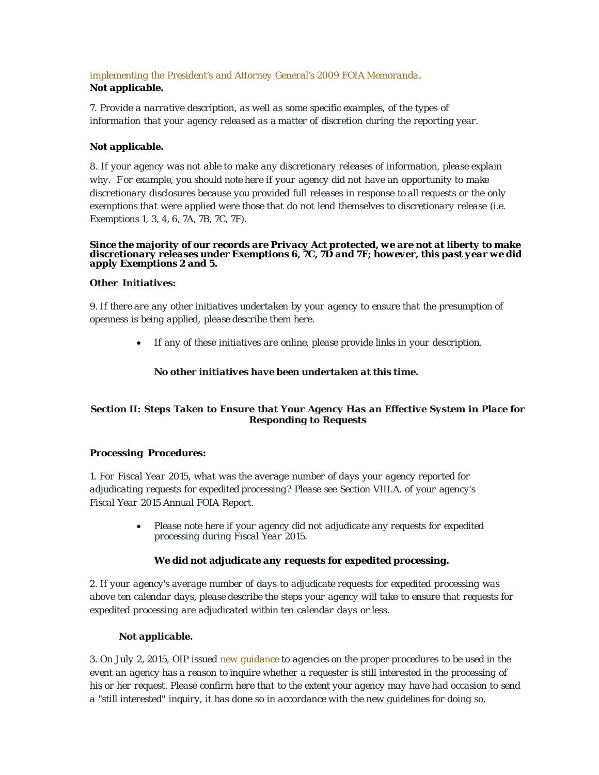# *[implementing](http://www.justice.gov/oip/foiapost/2009foiapost8.htm) the President's and Attorney General's 2009 FOIA [Memoranda.](http://www.justice.gov/oip/foiapost/2009foiapost8.htm) Not applicable.*

*7. Provide a narrative description, as well as some specific examples, of the types of information that your agency released as a matter of discretion during the reporting year.*

# *Not applicable.*

*8. If your agency was not able to make any discretionary releases of information, please explain why. F or example, you should note here if your agency did not have an opportunity to make discretionary disclosures because you provided full releases in response to all requests or the only exemptions that were applied were those that do not lend themselves to discretionary release (i.e. Exemptions 1, 3, 4, 6, 7A, 7B, 7C, 7F).*

# *Since the majority of our records are Privacy Act protected, we are not at liberty to make discretionary releases under Exemptions 6, 7C, 7D and 7F; however, this past year we did apply Exemptions 2 and 5.*

# *Other Initiatives:*

*9. If there are any other initiatives undertaken by your agency to ensure that the presumption of openness is being applied, please describe them here.*

• *If any of these initiatives are online, please provide links in your description.*

# *No other initiatives have been undertaken at this time.*

# *Section II: Steps Taken to Ensure that Your Agency Has an Effective System in Place for Responding to Requests*

#### *Processing Procedures:*

*1. For Fiscal Year 2015, what was the average number of days your agency reported for adjudicating requests for expedited processing? Please see Section VIII.A. of your agency's Fiscal Year 2015 Annual FOIA Report.*

> • *Please note here if your agency did not adjudicate any requests for expedited processing during Fiscal Year 2015.*

# *We did not adjudicate any requests for expedited processing.*

*2. If your agency's average number of days to adjudicate requests for expedited processing was above ten calendar days, please describe the steps your agency will take to ensure that requests for expedited processing are adjudicated within ten calendar days or less.*

#### *Not applicable.*

3. On July 2, 2015, OIP issued new [guidance](http://www.justice.gov/oip/oip-guidance-8) to agencies on the proper procedures to be used in the event an agency has a reason to inquire whether a requester is still interested in the processing of his or her request. Please confirm here that to the extent your agency may have had occasion to send *a "still interested" inquiry, it has done so in accordance with the new guidelines for doing so,*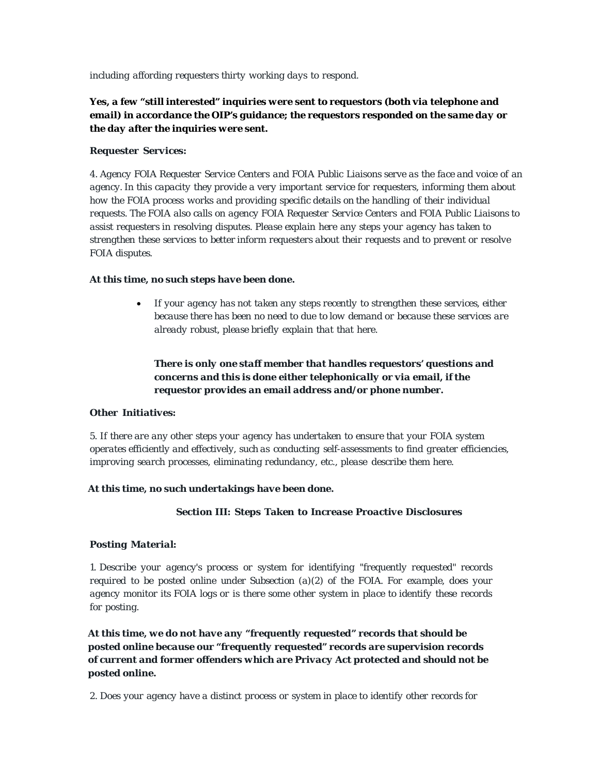*including affording requesters thirty working days to respond.*

# *Yes, a few "still interested" inquiries were sent to requestors (both via telephone and email) in accordance the OIP's guidance; the requestors responded on the same day or the day after the inquiries were sent.*

#### *Requester Services:*

4. Agency FOIA Requester Service Centers and FOIA Public Liaisons serve as the face and voice of an *agency. In this capacity they provide a very important service for requesters, informing them about how the FOIA process works and providing specific details on the handling of their individual requests. The FOIA also calls on agency FOIA Requester Service Centers and FOIA Public Liaisons to assist requesters in resolving disputes. Please explain here any steps your agency has taken to strengthen these services to better inform requesters about their requests and to prevent or resolve FOIA disputes.*

#### *At this time, no such steps have been done.*

• *If your agency has not taken any steps recently to strengthen these services, either because there has been no need to due to low demand or because these services are already robust, please briefly explain that that here.*

# *There is only one staff member that handles requestors' questions and concerns and this is done either telephonically or via email, if the requestor provides an email address and/or phone number.*

#### *Other Initiatives:*

*5. If there are any other steps your agency has undertaken to ensure that your FOIA system operates efficiently and effectively, such as conducting self-assessments to find greater efficiencies, improving search processes, eliminating redundancy, etc., please describe them here.*

#### *At this time, no such undertakings have been done.*

#### *Section III: Steps Taken to Increase Proactive Disclosures*

#### *Posting Material:*

*1. Describe your agency's process or system for identifying "frequently requested" records required to be posted online under Subsection (a)(2) of the FOIA. For example, does your agency monitor its FOIA logs or is there some other system in place to identify these records for posting.*

*At this time, we do not have any "frequently requested" records that should be posted online because our "frequently requested" records are supervision records of current and former offenders which are Privacy Act protected and should not be posted online.*

*2. Does your agency have a distinct process or system in place to identify other records for*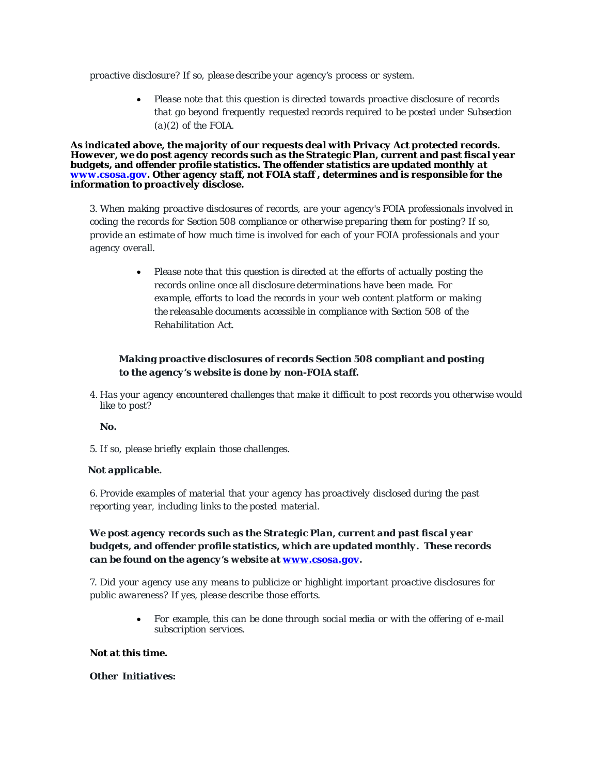*proactive disclosure? If so, please describe your agency's process or system.*

• *Please note that this question is directed towards proactive disclosure of records that go beyond frequently requested records required to be posted under Subsection (a)(2) of the FOIA.*

*As indicated above, the majority of our requests deal with Privacy Act protected records. However, we do post agency records such as the Strategic Plan, current and past fiscal year budgets, and offender profile statistics. The offender statistics are updated monthly at [www.csosa.gov.](http://www.csosa.gov/) Other agency staff, not FOIA staff , determines and is responsible for the information to proactively disclose.*

*3. When making proactive disclosures of records, are your agency's FOIA professionals involved in coding the records for Section 508 compliance or otherwise preparing them for posting? If so, provide an estimate of how much time is involved for each of your FOIA professionals and your agency overall.*

> • *Please note that this question is directed at the efforts of actually posting the records online once all disclosure determinations have been made. For example, efforts to load the records in your web content platform or making the releasable documents accessible in compliance with Section 508 of the Rehabilitation Act.*

# *Making proactive disclosures of records Section 508 compliant and posting to the agency's website is done by non-FOIA staff.*

*4. Has your agency encountered challenges that make it difficult to post records you otherwise would like to post?*

# *No.*

*5. If so, please briefly explain those challenges.*

#### *Not applicable.*

*6. Provide examples of material that your agency has proactively disclosed during the past reporting year, including links to the posted material.*

# *We post agency records such as the Strategic Plan, current and past fiscal year budgets, and offender profile statistics, which are updated monthly. These records can be found on the agency's website at [www.csosa.gov.](http://www.csosa.gov/)*

*7. Did your agency use any means to publicize or highlight important proactive disclosures for public awareness? If yes, please describe those efforts.*

> • *For example, this can be done through social media or with the offering of e-mail subscription services.*

#### *Not at this time.*

#### *Other Initiatives:*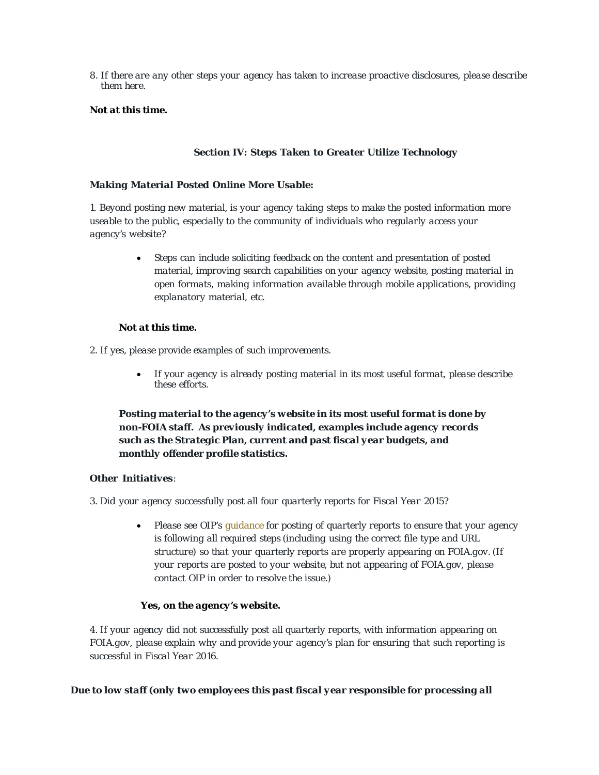*8. If there are any other steps your agency has taken to increase proactive disclosures, please describe them here.*

# *Not at this time.*

#### *Section IV: Steps Taken to Greater Utilize Technology*

#### *Making Material Posted Online More Usable:*

*1. Beyond posting new material, is your agency taking steps to make the posted information more useable to the public, especially to the community of individuals who regularly access your agency's website?*

> • *Steps can include soliciting feedback on the content and presentation of posted material, improving search capabilities on your agency website, posting material in open formats, making information available through mobile applications, providing explanatory material, etc.*

#### *Not at this time.*

*2. If yes, please provide examples of such improvements.*

• *If your agency is already posting material in its most useful format, please describe these efforts.*

*Posting material to the agency's website in its most useful format is done by non-FOIA staff. As previously indicated, examples include agency records such as the Strategic Plan, current and past fiscal year budgets, and monthly offender profile statistics.*

#### *Other Initiatives:*

*3. Did your agency successfully post all four quarterly reports for Fiscal Year 2015?*

• *Please see OIP's [guidance](http://www.justice.gov/oip/blog/foia-guidance-12) for posting of quarterly reports to ensure that your agency is following all required steps (including using the correct file type and URL structure) so that your quarterly reports are properly appearing on FOIA.gov. (If your reports are posted to your website, but not appearing of FOIA.gov, please contact OIP in order to resolve the issue.)*

#### *Yes, on the agency's website.*

*4. If your agency did not successfully post all quarterly reports, with information appearing on FOIA.gov, please explain why and provide your agency's plan for ensuring that such reporting is successful in Fiscal Year 2016.*

#### *Due to low staff (only two employees this past fiscal year responsible for processing all*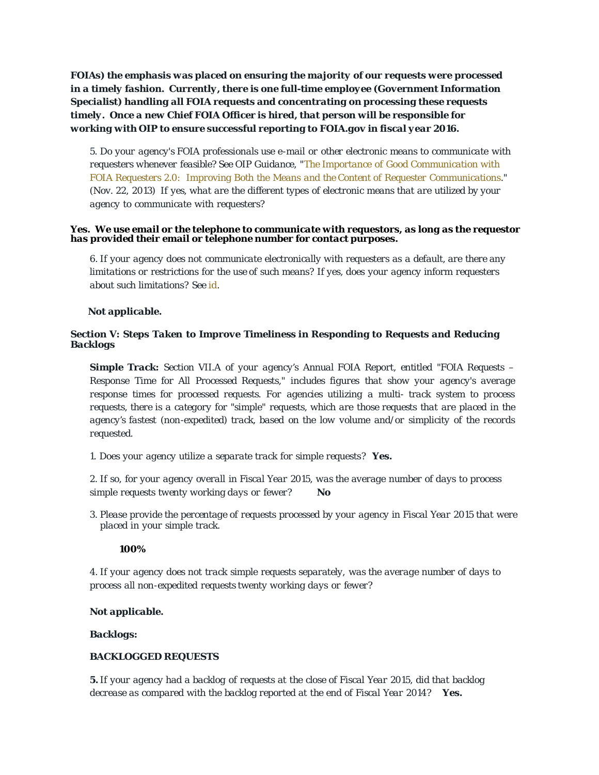*FOIAs) the emphasis was placed on ensuring the majority of our requests were processed in a timely fashion. Currently, there is one full-time employee (Government Information Specialist) handling all FOIA requests and concentrating on processing these requests timely. Once a new Chief FOIA Officer is hired, that person will be responsible for working with OIP to ensure successful reporting to FOIA.gov in fiscal year 2016.*

*5. Do your agency's FOIA professionals use e-mail or other electronic means to communicate with requesters whenever feasible? See OIP Guidance, "The Importance of Good [Communication](http://www.justice.gov/oip/foiapost/2013foiapost06.html) with FOIA Requesters [2.0: Improving](http://www.justice.gov/oip/foiapost/2013foiapost06.html) Both the Means and the Content of Requester [Communications.](http://www.justice.gov/oip/foiapost/2013foiapost06.html)" (Nov. 22, 2013) If yes, what are the different types of electronic means that are utilized by your agency to communicate with requesters?*

#### *Yes. We use email or the telephone to communicate with requestors, as long as the requestor has provided their email or telephone number for contact purposes.*

*6. If your agency does not communicate electronically with requesters as a default, are there any limitations or restrictions for the use of such means? If yes, does your agency inform requesters about such limitations? See [id.](http://www.justice.gov/oip/foiapost/2013foiapost06.html)*

#### *Not applicable.*

#### *Section V: Steps Taken to Improve Timeliness in Responding to Requests and Reducing Backlogs*

*Simple Track: Section VII.A of your agency's Annual FOIA Report, entitled "FOIA Requests – Response Time for All Processed Requests," includes figures that show your agency's average response times for processed requests. For agencies utilizing a multi- track system to process requests, there is a category for "simple" requests, which are those requests that are placed in the agency's fastest (non-expedited) track, based on the low volume and/or simplicity of the records requested.*

*1. Does your agency utilize a separate track for simple requests? Yes.*

2. If so, for your agency overall in Fiscal Year 2015, was the average number of days to process *simple requests twenty working days or fewer? No*

*3. Please provide the percentage of requests processed by your agency in Fiscal Year 2015 that were placed in your simple track.*

#### *100%*

*4. If your agency does not track simple requests separately, was the average number of days to process all non-expedited requests twenty working days or fewer?*

#### *Not applicable.*

#### *Backlogs:*

#### *BACKLOGGED REQUESTS*

5. If your agency had a backlog of requests at the close of Fiscal Year 2015, did that backlog *decrease as compared with the backlog reported at the end of Fiscal Year 2014? Yes.*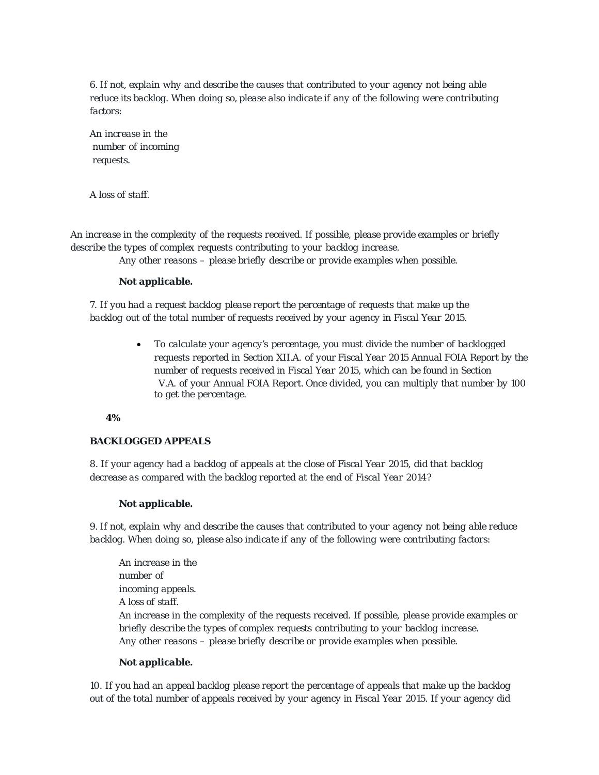*6. If not, explain why and describe the causes that contributed to your agency not being able reduce its backlog. When doing so, please also indicate if any of the following were contributing factors:*

*An increase in the number of incoming requests.*

*A loss of staff.*

*An increase in the complexity of the requests received. If possible, please provide examples or briefly describe the types of complex requests contributing to your backlog increase. Any other reasons – please briefly describe or provide examples when possible.*

#### *Not applicable.*

*7. If you had a request backlog please report the percentage of requests that make up the backlog out of the total number of requests received by your agency in Fiscal Year 2015.*

> • *To calculate your agency's percentage, you must divide the number of backlogged requests reported in Section XII.A. of your Fiscal Year 2015 Annual FOIA Report by the number of requests received in Fiscal Year 2015, which can be found in Section V.A. of your Annual FOIA Report. Once divided, you can multiply that number by 100 to get the percentage.*

#### *4%*

#### *BACKLOGGED APPEALS*

8. If your agency had a backlog of appeals at the close of Fiscal Year 2015, did that backlog *decrease as compared with the backlog reported at the end of Fiscal Year 2014?*

#### *Not applicable.*

9. If not, explain why and describe the causes that contributed to your agency not being able reduce *backlog. When doing so, please also indicate if any of the following were contributing factors:*

*An increase in the number of incoming appeals. A loss of staff. An increase in the complexity of the requests received. If possible, please provide examples or briefly describe the types of complex requests contributing to your backlog increase. Any other reasons – please briefly describe or provide examples when possible.*

#### *Not applicable.*

*10. If you had an appeal backlog please report the percentage of appeals that make up the backlog* out of the total number of appeals received by your agency in Fiscal Year 2015. If your agency did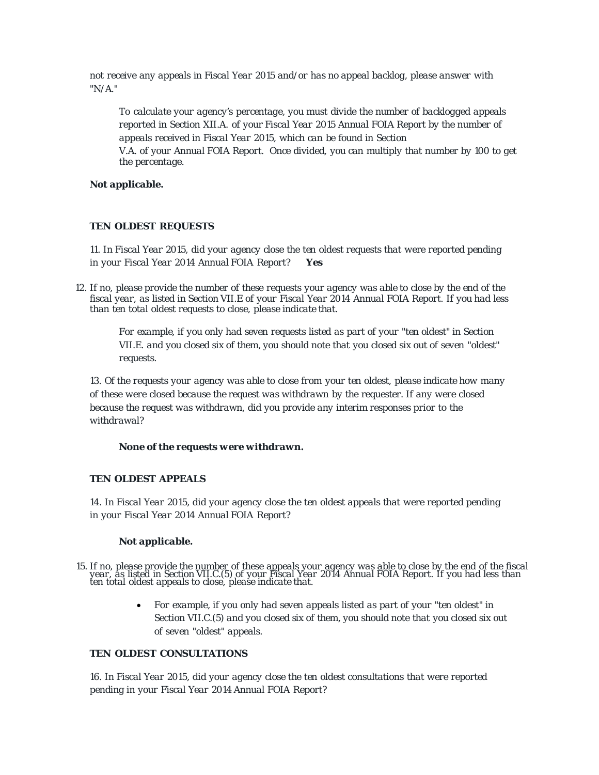*not receive any appeals in Fiscal Year 2015 and/or has no appeal backlog, please answer with "N/A."*

*To calculate your agency's percentage, you must divide the number of backlogged appeals reported in Section XII.A. of your Fiscal Year 2015 Annual FOIA Report by the number of appeals received in Fiscal Year 2015, which can be found in Section V.A. of your Annual FOIA Report. Once divided, you can multiply that number by 100 to get the percentage.*

### *Not applicable.*

# *TEN OLDEST REQUESTS*

*11. In Fiscal Year 2015, did your agency close the ten oldest requests that were reported pending in your Fiscal Year 2014 Annual FOIA Report? Yes*

12. If no, please provide the number of these requests your agency was able to close by the end of the fiscal year, as listed in Section VII.E of your Fiscal Year 2014 Annual FOIA Report. If you had less *than ten total oldest requests to close, please indicate that.*

*For example, if you only had seven requests listed as part of your "ten oldest" in Section VII.E. and you closed six of them, you should note that you closed six out of seven "oldest" requests.*

*13. Of the requests your agency was able to close from your ten oldest, please indicate how many of these were closed because the request was withdrawn by the requester. If any were closed because the request was withdrawn, did you provide any interim responses prior to the withdrawal?*

#### *None of the requests were withdrawn.*

#### *TEN OLDEST APPEALS*

*14. In Fiscal Year 2015, did your agency close the ten oldest appeals that were reported pending in your Fiscal Year 2014 Annual FOIA Report?*

#### *Not applicable.*

15. If no, please provide the number of these appeals your agency was able to close by the end of the fiscal year, 'as liste'd in Section VII.C.(5) of your Fiscal Year 2014 Annual FOIA Report. If you had less than<br>ten total oldest appeals to close, please indicate that.

> • *For example, if you only had seven appeals listed as part of your "ten oldest" in Section VII.C.(5) and you closed six of them, you should note that you closed six out of seven "oldest" appeals.*

#### *TEN OLDEST CONSULTATIONS*

*16. In Fiscal Year 2015, did your agency close the ten oldest consultations that were reported pending in your Fiscal Year 2014 Annual FOIA Report?*